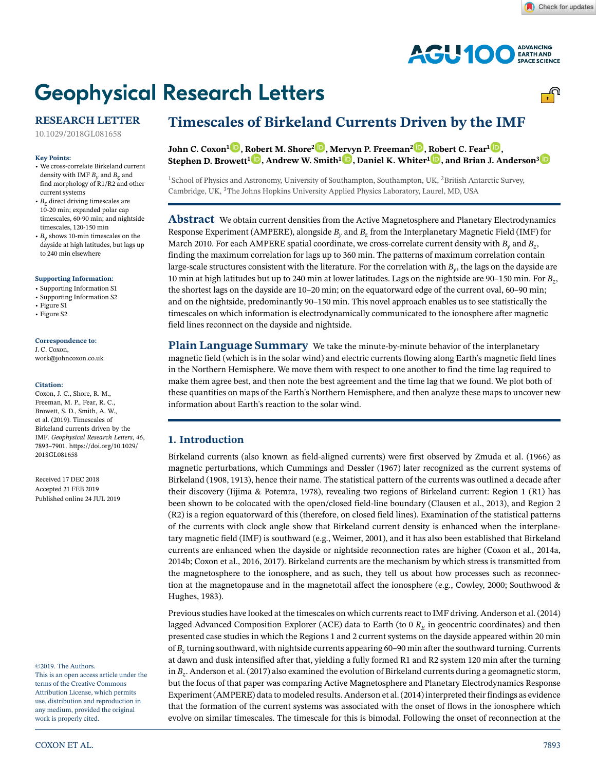

# **Geophysical Research Letters**



## **RESEARCH LETTER**

[10.1029/2018GL081658](http://dx.doi.org/10.1029/2018GL081658)

#### **Key Points:**

- We cross-correlate Birkeland current density with IMF  $B_y$  and  $B_z$  and find morphology of R1/R2 and other current systems
- $B<sub>z</sub>$  direct driving timescales are 10-20 min; expanded polar cap timescales, 60-90 min; and nightside timescales, 120-150 min
- *By* shows 10-min timescales on the dayside at high latitudes, but lags up to 240 min elsewhere

#### **Supporting Information:**

- [Supporting Information S1](http://dx.doi.org/10.1029/2018GL081658)
- Supporting Information S2
- Figure S1 • Figure S2
- 

#### **Correspondence to:**

J. C. Coxon, work@johncoxon.co.uk

#### **Citation:**

Coxon, J. C., Shore, R. M., Freeman, M. P., Fear, R. C., Browett, S. D., Smith, A. W., et al. (2019). Timescales of Birkeland currents driven by the IMF. *Geophysical Research Letters*, *46*, 7893–7901. [https://doi.org/10.1029/](https://doi.org/10.1029/2018GL081658) [2018GL081658](https://doi.org/10.1029/2018GL081658)

Received 17 DEC 2018 Accepted 21 FEB 2019 Published online 24 JUL 2019

#### ©2019. The Authors.

This is an open access article under the terms of th[e](http://creativecommons.org/licenses/by/4.0/) Creative Commons Attribution License, which permits use, distribution and reproduction in any medium, provided the original work is properly cited.

## **Timescales of Birkeland Currents Driven by the IMF**

**John C. Coxon[1](https://orcid.org/0000-0002-0166-6854) , [Robe](https://orcid.org/0000-0003-0500-6244)rt M. Shore2 [,](https://orcid.org/0000-0002-8386-1425) M[ervy](https://orcid.org/0000-0001-7321-4331)n P. Freeman2 [,](https://orcid.org/0000-0002-8653-8279) [Rob](https://orcid.org/0000-0001-7130-232X)ert C. Fear1 [,](https://orcid.org/0000-0003-0589-7147) Stephen D. Browett1 , Andrew W. Smith1 , Daniel K. Whiter1 , and Brian J. Anderson[3](https://orcid.org/0000-0003-2543-0149)**

<sup>1</sup>School of Physics and Astronomy, University of Southampton, Southampton, UK, <sup>2</sup>British Antarctic Survey, Cambridge, UK, <sup>3</sup>The Johns Hopkins University Applied Physics Laboratory, Laurel, MD, USA

**Abstract** We obtain current densities from the Active Magnetosphere and Planetary Electrodynamics Response Experiment (AMPERE), alongside *By* and *Bz* from the Interplanetary Magnetic Field (IMF) for March 2010. For each AMPERE spatial coordinate, we cross-correlate current density with *B<sub>y</sub>* and *B<sub>z</sub>*, finding the maximum correlation for lags up to 360 min. The patterns of maximum correlation contain large-scale structures consistent with the literature. For the correlation with *By*, the lags on the dayside are 10 min at high latitudes but up to 240 min at lower latitudes. Lags on the nightside are 90–150 min. For *Bz*, the shortest lags on the dayside are 10–20 min; on the equatorward edge of the current oval, 60–90 min; and on the nightside, predominantly 90–150 min. This novel approach enables us to see statistically the timescales on which information is electrodynamically communicated to the ionosphere after magnetic field lines reconnect on the dayside and nightside.

**Plain Language Summary** We take the minute-by-minute behavior of the interplanetary magnetic field (which is in the solar wind) and electric currents flowing along Earth's magnetic field lines in the Northern Hemisphere. We move them with respect to one another to find the time lag required to make them agree best, and then note the best agreement and the time lag that we found. We plot both of these quantities on maps of the Earth's Northern Hemisphere, and then analyze these maps to uncover new information about Earth's reaction to the solar wind.

## **1. Introduction**

Birkeland currents (also known as field-aligned currents) were first observed by Zmuda et al. (1966) as magnetic perturbations, which Cummings and Dessler (1967) later recognized as the current systems of Birkeland (1908, 1913), hence their name. The statistical pattern of the currents was outlined a decade after their discovery (Iijima & Potemra, 1978), revealing two regions of Birkeland current: Region 1 (R1) has been shown to be colocated with the open/closed field-line boundary (Clausen et al., 2013), and Region 2 (R2) is a region equatorward of this (therefore, on closed field lines). Examination of the statistical patterns of the currents with clock angle show that Birkeland current density is enhanced when the interplanetary magnetic field (IMF) is southward (e.g., Weimer, 2001), and it has also been established that Birkeland currents are enhanced when the dayside or nightside reconnection rates are higher (Coxon et al., 2014a, 2014b; Coxon et al., 2016, 2017). Birkeland currents are the mechanism by which stress is transmitted from the magnetosphere to the ionosphere, and as such, they tell us about how processes such as reconnection at the magnetopause and in the magnetotail affect the ionosphere (e.g., Cowley, 2000; Southwood & Hughes, 1983).

Previous studies have looked at the timescales on which currents react to IMF driving. Anderson et al. (2014) lagged Advanced Composition Explorer (ACE) data to Earth (to 0  $R<sub>E</sub>$  in geocentric coordinates) and then presented case studies in which the Regions 1 and 2 current systems on the dayside appeared within 20 min of *Bz* turning southward, with nightside currents appearing 60–90 min after the southward turning. Currents at dawn and dusk intensified after that, yielding a fully formed R1 and R2 system 120 min after the turning in *Bz*. Anderson et al. (2017) also examined the evolution of Birkeland currents during a geomagnetic storm, but the focus of that paper was comparing Active Magnetosphere and Planetary Electrodynamics Response Experiment (AMPERE) data to modeled results. Anderson et al. (2014) interpreted their findings as evidence that the formation of the current systems was associated with the onset of flows in the ionosphere which evolve on similar timescales. The timescale for this is bimodal. Following the onset of reconnection at the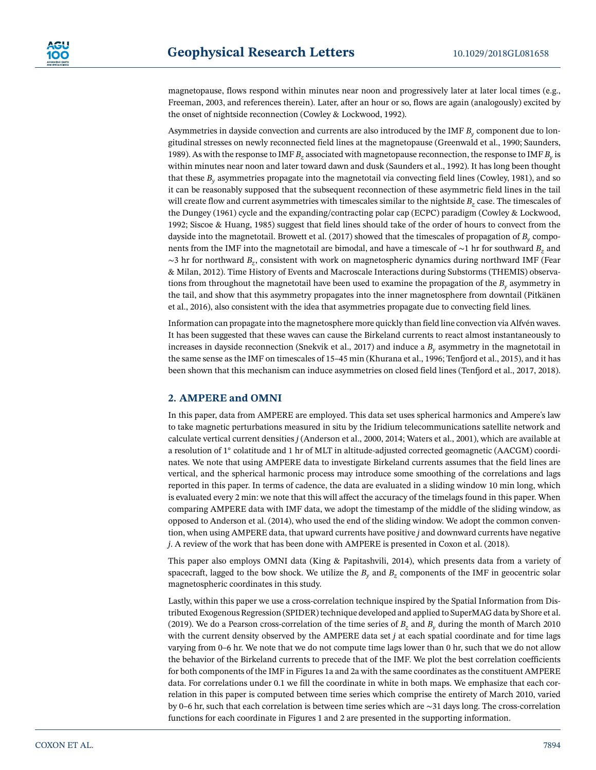magnetopause, flows respond within minutes near noon and progressively later at later local times (e.g., Freeman, 2003, and references therein). Later, after an hour or so, flows are again (analogously) excited by the onset of nightside reconnection (Cowley & Lockwood, 1992).

Asymmetries in dayside convection and currents are also introduced by the IMF *By* component due to longitudinal stresses on newly reconnected field lines at the magnetopause (Greenwald et al., 1990; Saunders, 1989). As with the response to IMF *Bz* associated with magnetopause reconnection, the response to IMF *By* is within minutes near noon and later toward dawn and dusk (Saunders et al., 1992). It has long been thought that these *By* asymmetries propagate into the magnetotail via convecting field lines (Cowley, 1981), and so it can be reasonably supposed that the subsequent reconnection of these asymmetric field lines in the tail will create flow and current asymmetries with timescales similar to the nightside  $B<sub>z</sub>$  case. The timescales of the Dungey (1961) cycle and the expanding/contracting polar cap (ECPC) paradigm (Cowley & Lockwood, 1992; Siscoe & Huang, 1985) suggest that field lines should take of the order of hours to convect from the dayside into the magnetotail. Browett et al. (2017) showed that the timescales of propagation of *By* components from the IMF into the magnetotail are bimodal, and have a timescale of ∼1 hr for southward *Bz* and ∼3 hr for northward *Bz*, consistent with work on magnetospheric dynamics during northward IMF (Fear & Milan, 2012). Time History of Events and Macroscale Interactions during Substorms (THEMIS) observations from throughout the magnetotail have been used to examine the propagation of the *By* asymmetry in the tail, and show that this asymmetry propagates into the inner magnetosphere from downtail (Pitkänen et al., 2016), also consistent with the idea that asymmetries propagate due to convecting field lines.

Information can propagate into the magnetosphere more quickly than field line convection via Alfvén waves. It has been suggested that these waves can cause the Birkeland currents to react almost instantaneously to increases in dayside reconnection (Snekvik et al., 2017) and induce a  $B<sub>v</sub>$  asymmetry in the magnetotail in the same sense as the IMF on timescales of 15–45 min (Khurana et al., 1996; Tenfjord et al., 2015), and it has been shown that this mechanism can induce asymmetries on closed field lines (Tenfjord et al., 2017, 2018).

## **2. AMPERE and OMNI**

In this paper, data from AMPERE are employed. This data set uses spherical harmonics and Ampere's law to take magnetic perturbations measured in situ by the Iridium telecommunications satellite network and calculate vertical current densities *j* (Anderson et al., 2000, 2014; Waters et al., 2001), which are available at a resolution of 1◦ colatitude and 1 hr of MLT in altitude-adjusted corrected geomagnetic (AACGM) coordinates. We note that using AMPERE data to investigate Birkeland currents assumes that the field lines are vertical, and the spherical harmonic process may introduce some smoothing of the correlations and lags reported in this paper. In terms of cadence, the data are evaluated in a sliding window 10 min long, which is evaluated every 2 min: we note that this will affect the accuracy of the timelags found in this paper. When comparing AMPERE data with IMF data, we adopt the timestamp of the middle of the sliding window, as opposed to Anderson et al. (2014), who used the end of the sliding window. We adopt the common convention, when using AMPERE data, that upward currents have positive *j* and downward currents have negative *j*. A review of the work that has been done with AMPERE is presented in Coxon et al. (2018).

This paper also employs OMNI data (King & Papitashvili, 2014), which presents data from a variety of spacecraft, lagged to the bow shock. We utilize the  $B<sub>y</sub>$  and  $B<sub>z</sub>$  components of the IMF in geocentric solar magnetospheric coordinates in this study.

Lastly, within this paper we use a cross-correlation technique inspired by the Spatial Information from Distributed Exogenous Regression (SPIDER) technique developed and applied to SuperMAG data by Shore et al. (2019). We do a Pearson cross-correlation of the time series of  $B_z$  and  $B_y$  during the month of March 2010 with the current density observed by the AMPERE data set *j* at each spatial coordinate and for time lags varying from 0–6 hr. We note that we do not compute time lags lower than 0 hr, such that we do not allow the behavior of the Birkeland currents to precede that of the IMF. We plot the best correlation coefficients for both components of the IMF in Figures 1a and 2a with the same coordinates as the constituent AMPERE data. For correlations under 0.1 we fill the coordinate in white in both maps. We emphasize that each correlation in this paper is computed between time series which comprise the entirety of March 2010, varied by 0–6 hr, such that each correlation is between time series which are ∼31 days long. The cross-correlation functions for each coordinate in Figures 1 and 2 are presented in the supporting information.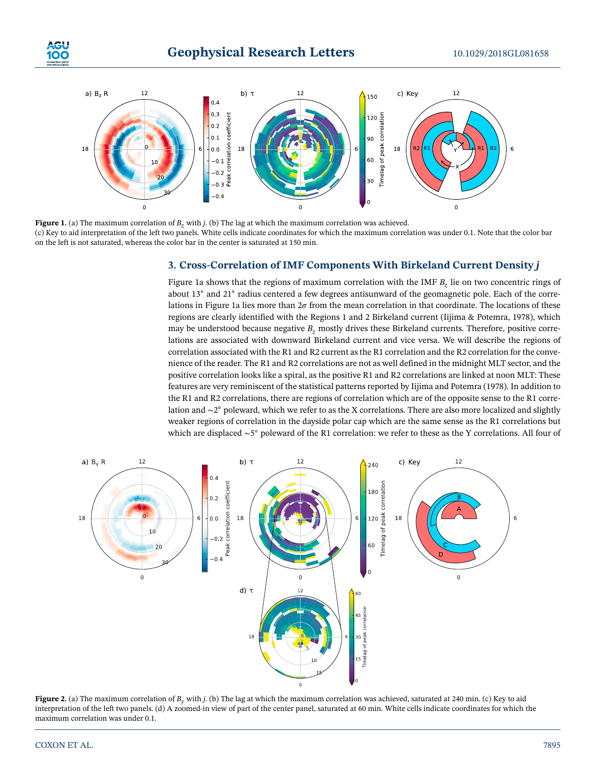



**Figure 1.** (a) The maximum correlation of *B<sub>z</sub>* with *j*. (b) The lag at which the maximum correlation was achieved. (c) Key to aid interpretation of the left two panels. White cells indicate coordinates for which the maximum correlation was under 0.1. Note that the color bar on the left is not saturated, whereas the color bar in the center is saturated at 150 min.

### **3. Cross-Correlation of IMF Components With Birkeland Current Density** *j*

Figure 1a shows that the regions of maximum correlation with the IMF *B<sub>z</sub>* lie on two concentric rings of about 13◦ and 21◦ radius centered a few degrees antisunward of the geomagnetic pole. Each of the correlations in Figure 1a lies more than  $2\sigma$  from the mean correlation in that coordinate. The locations of these regions are clearly identified with the Regions 1 and 2 Birkeland current (Iijima & Potemra, 1978), which may be understood because negative  $B<sub>z</sub>$  mostly drives these Birkeland currents. Therefore, positive correlations are associated with downward Birkeland current and vice versa. We will describe the regions of correlation associated with the R1 and R2 current as the R1 correlation and the R2 correlation for the convenience of the reader. The R1 and R2 correlations are not as well defined in the midnight MLT sector, and the positive correlation looks like a spiral, as the positive R1 and R2 correlations are linked at noon MLT: These features are very reminiscent of the statistical patterns reported by Iijima and Potemra (1978). In addition to the R1 and R2 correlations, there are regions of correlation which are of the opposite sense to the R1 correlation and ∼2◦ poleward, which we refer to as the X correlations. There are also more localized and slightly weaker regions of correlation in the dayside polar cap which are the same sense as the R1 correlations but which are displaced ∼5◦ poleward of the R1 correlation: we refer to these as the Y correlations. All four of



**Figure 2.** (a) The maximum correlation of  $B<sub>v</sub>$  with *j*. (b) The lag at which the maximum correlation was achieved, saturated at 240 min. (c) Key to aid interpretation of the left two panels. (d) A zoomed-in view of part of the center panel, saturated at 60 min. White cells indicate coordinates for which the maximum correlation was under 0.1.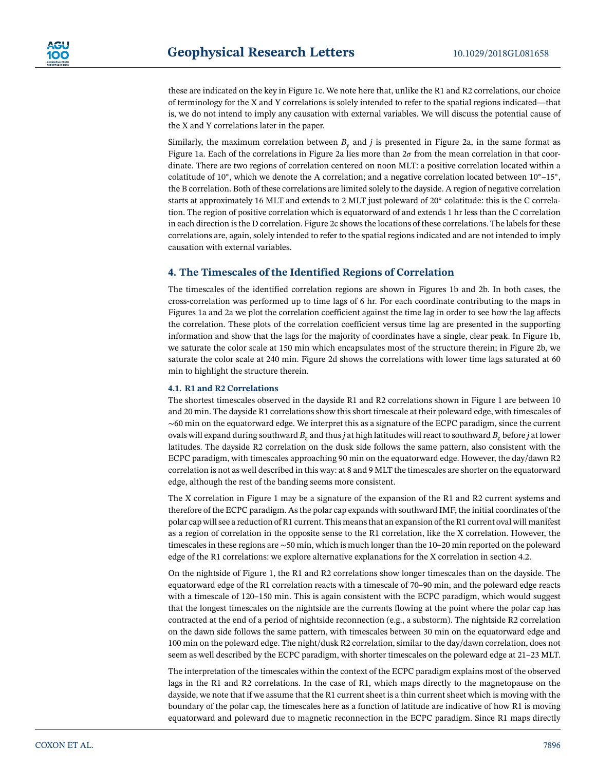these are indicated on the key in Figure 1c. We note here that, unlike the R1 and R2 correlations, our choice of terminology for the X and Y correlations is solely intended to refer to the spatial regions indicated—that is, we do not intend to imply any causation with external variables. We will discuss the potential cause of the X and Y correlations later in the paper.

Similarly, the maximum correlation between  $B<sub>v</sub>$  and *j* is presented in Figure 2a, in the same format as Figure 1a. Each of the correlations in Figure 2a lies more than  $2\sigma$  from the mean correlation in that coordinate. There are two regions of correlation centered on noon MLT: a positive correlation located within a colatitude of 10°, which we denote the A correlation; and a negative correlation located between  $10°-15°$ , the B correlation. Both of these correlations are limited solely to the dayside. A region of negative correlation starts at approximately 16 MLT and extends to 2 MLT just poleward of 20° colatitude: this is the C correlation. The region of positive correlation which is equatorward of and extends 1 hr less than the C correlation in each direction is the D correlation. Figure 2c shows the locations of these correlations. The labels for these correlations are, again, solely intended to refer to the spatial regions indicated and are not intended to imply causation with external variables.

## **4. The Timescales of the Identified Regions of Correlation**

The timescales of the identified correlation regions are shown in Figures 1b and 2b. In both cases, the cross-correlation was performed up to time lags of 6 hr. For each coordinate contributing to the maps in Figures 1a and 2a we plot the correlation coefficient against the time lag in order to see how the lag affects the correlation. These plots of the correlation coefficient versus time lag are presented in the supporting information and show that the lags for the majority of coordinates have a single, clear peak. In Figure 1b, we saturate the color scale at 150 min which encapsulates most of the structure therein; in Figure 2b, we saturate the color scale at 240 min. Figure 2d shows the correlations with lower time lags saturated at 60 min to highlight the structure therein.

#### **4.1. R1 and R2 Correlations**

The shortest timescales observed in the dayside R1 and R2 correlations shown in Figure 1 are between 10 and 20 min. The dayside R1 correlations show this short timescale at their poleward edge, with timescales of ∼60 min on the equatorward edge. We interpret this as a signature of the ECPC paradigm, since the current ovals will expand during southward *B<sub>z</sub>* and thus *j* at high latitudes will react to southward *B<sub>z</sub>* before *j* at lower latitudes. The dayside R2 correlation on the dusk side follows the same pattern, also consistent with the ECPC paradigm, with timescales approaching 90 min on the equatorward edge. However, the day/dawn R2 correlation is not as well described in this way: at 8 and 9 MLT the timescales are shorter on the equatorward edge, although the rest of the banding seems more consistent.

The X correlation in Figure 1 may be a signature of the expansion of the R1 and R2 current systems and therefore of the ECPC paradigm. As the polar cap expands with southward IMF, the initial coordinates of the polar cap will see a reduction of R1 current. This means that an expansion of the R1 current oval will manifest as a region of correlation in the opposite sense to the R1 correlation, like the X correlation. However, the timescales in these regions are ∼50 min, which is much longer than the 10–20 min reported on the poleward edge of the R1 correlations: we explore alternative explanations for the X correlation in section 4.2.

On the nightside of Figure 1, the R1 and R2 correlations show longer timescales than on the dayside. The equatorward edge of the R1 correlation reacts with a timescale of 70–90 min, and the poleward edge reacts with a timescale of 120–150 min. This is again consistent with the ECPC paradigm, which would suggest that the longest timescales on the nightside are the currents flowing at the point where the polar cap has contracted at the end of a period of nightside reconnection (e.g., a substorm). The nightside R2 correlation on the dawn side follows the same pattern, with timescales between 30 min on the equatorward edge and 100 min on the poleward edge. The night/dusk R2 correlation, similar to the day/dawn correlation, does not seem as well described by the ECPC paradigm, with shorter timescales on the poleward edge at 21–23 MLT.

The interpretation of the timescales within the context of the ECPC paradigm explains most of the observed lags in the R1 and R2 correlations. In the case of R1, which maps directly to the magnetopause on the dayside, we note that if we assume that the R1 current sheet is a thin current sheet which is moving with the boundary of the polar cap, the timescales here as a function of latitude are indicative of how R1 is moving equatorward and poleward due to magnetic reconnection in the ECPC paradigm. Since R1 maps directly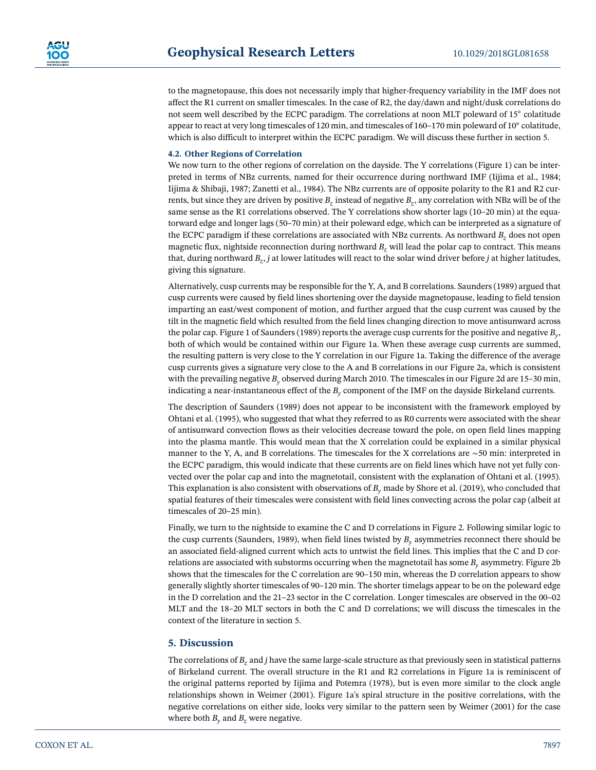to the magnetopause, this does not necessarily imply that higher-frequency variability in the IMF does not affect the R1 current on smaller timescales. In the case of R2, the day/dawn and night/dusk correlations do not seem well described by the ECPC paradigm. The correlations at noon MLT poleward of 15◦ colatitude appear to react at very long timescales of 120 min, and timescales of 160–170 min poleward of 10◦ colatitude, which is also difficult to interpret within the ECPC paradigm. We will discuss these further in section 5.

#### **4.2. Other Regions of Correlation**

We now turn to the other regions of correlation on the dayside. The Y correlations (Figure 1) can be interpreted in terms of NBz currents, named for their occurrence during northward IMF (Iijima et al., 1984; Iijima & Shibaji, 1987; Zanetti et al., 1984). The NBz currents are of opposite polarity to the R1 and R2 currents, but since they are driven by positive  $B_z$  instead of negative  $B_z$ , any correlation with NBz will be of the same sense as the R1 correlations observed. The Y correlations show shorter lags (10–20 min) at the equatorward edge and longer lags (50–70 min) at their poleward edge, which can be interpreted as a signature of the ECPC paradigm if these correlations are associated with NBz currents. As northward *B<sub>z</sub>* does not open magnetic flux, nightside reconnection during northward *B<sub>z</sub>* will lead the polar cap to contract. This means that, during northward *Bz*, *j* at lower latitudes will react to the solar wind driver before *j* at higher latitudes, giving this signature.

Alternatively, cusp currents may be responsible for the Y, A, and B correlations. Saunders (1989) argued that cusp currents were caused by field lines shortening over the dayside magnetopause, leading to field tension imparting an east/west component of motion, and further argued that the cusp current was caused by the tilt in the magnetic field which resulted from the field lines changing direction to move antisunward across the polar cap. Figure 1 of Saunders (1989) reports the average cusp currents for the positive and negative *By*, both of which would be contained within our Figure 1a. When these average cusp currents are summed, the resulting pattern is very close to the Y correlation in our Figure 1a. Taking the difference of the average cusp currents gives a signature very close to the A and B correlations in our Figure 2a, which is consistent with the prevailing negative  $B_y$  observed during March 2010. The timescales in our Figure 2d are 15-30 min, indicating a near-instantaneous effect of the *By* component of the IMF on the dayside Birkeland currents.

The description of Saunders (1989) does not appear to be inconsistent with the framework employed by Ohtani et al. (1995), who suggested that what they referred to as R0 currents were associated with the shear of antisunward convection flows as their velocities decrease toward the pole, on open field lines mapping into the plasma mantle. This would mean that the X correlation could be explained in a similar physical manner to the Y, A, and B correlations. The timescales for the X correlations are ∼50 min: interpreted in the ECPC paradigm, this would indicate that these currents are on field lines which have not yet fully convected over the polar cap and into the magnetotail, consistent with the explanation of Ohtani et al. (1995). This explanation is also consistent with observations of *By* made by Shore et al. (2019), who concluded that spatial features of their timescales were consistent with field lines convecting across the polar cap (albeit at timescales of 20–25 min).

Finally, we turn to the nightside to examine the C and D correlations in Figure 2. Following similar logic to the cusp currents (Saunders, 1989), when field lines twisted by *By* asymmetries reconnect there should be an associated field-aligned current which acts to untwist the field lines. This implies that the C and D correlations are associated with substorms occurring when the magnetotail has some  $B<sub>v</sub>$  asymmetry. Figure 2b shows that the timescales for the C correlation are 90–150 min, whereas the D correlation appears to show generally slightly shorter timescales of 90–120 min. The shorter timelags appear to be on the poleward edge in the D correlation and the 21–23 sector in the C correlation. Longer timescales are observed in the 00–02 MLT and the 18–20 MLT sectors in both the C and D correlations; we will discuss the timescales in the context of the literature in section 5.

#### **5. Discussion**

The correlations of *B<sub>z</sub>* and *j* have the same large-scale structure as that previously seen in statistical patterns of Birkeland current. The overall structure in the R1 and R2 correlations in Figure 1a is reminiscent of the original patterns reported by Iijima and Potemra (1978), but is even more similar to the clock angle relationships shown in Weimer (2001). Figure 1a's spiral structure in the positive correlations, with the negative correlations on either side, looks very similar to the pattern seen by Weimer (2001) for the case where both  $B<sub>v</sub>$  and  $B<sub>z</sub>$  were negative.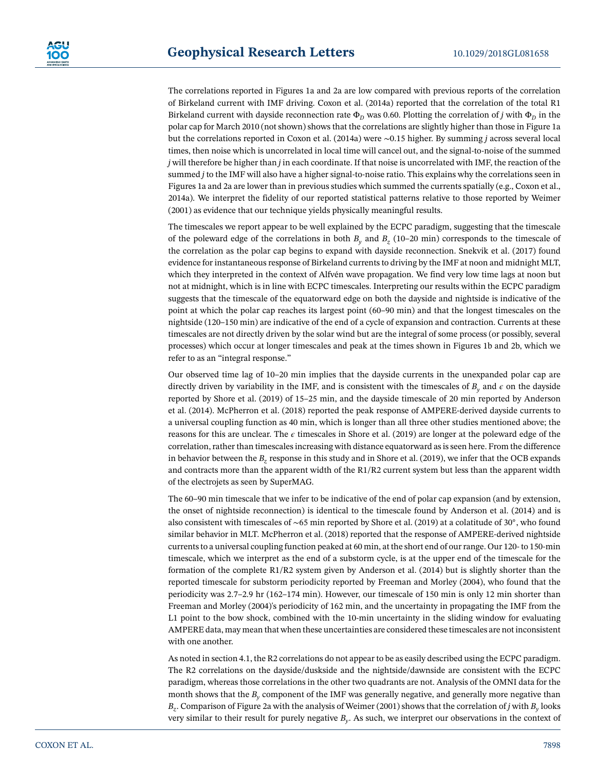The correlations reported in Figures 1a and 2a are low compared with previous reports of the correlation of Birkeland current with IMF driving. Coxon et al. (2014a) reported that the correlation of the total R1 Birkeland current with dayside reconnection rate  $\Phi_D$  was 0.60. Plotting the correlation of *j* with  $\Phi_D$  in the polar cap for March 2010 (not shown) shows that the correlations are slightly higher than those in Figure 1a but the correlations reported in Coxon et al. (2014a) were ∼0.15 higher. By summing *j* across several local times, then noise which is uncorrelated in local time will cancel out, and the signal-to-noise of the summed *j* will therefore be higher than *j* in each coordinate. If that noise is uncorrelated with IMF, the reaction of the summed *j* to the IMF will also have a higher signal-to-noise ratio. This explains why the correlations seen in Figures 1a and 2a are lower than in previous studies which summed the currents spatially (e.g., Coxon et al., 2014a). We interpret the fidelity of our reported statistical patterns relative to those reported by Weimer (2001) as evidence that our technique yields physically meaningful results.

The timescales we report appear to be well explained by the ECPC paradigm, suggesting that the timescale of the poleward edge of the correlations in both  $B<sub>y</sub>$  and  $B<sub>z</sub>$  (10–20 min) corresponds to the timescale of the correlation as the polar cap begins to expand with dayside reconnection. Snekvik et al. (2017) found evidence for instantaneous response of Birkeland currents to driving by the IMF at noon and midnight MLT, which they interpreted in the context of Alfvén wave propagation. We find very low time lags at noon but not at midnight, which is in line with ECPC timescales. Interpreting our results within the ECPC paradigm suggests that the timescale of the equatorward edge on both the dayside and nightside is indicative of the point at which the polar cap reaches its largest point (60–90 min) and that the longest timescales on the nightside (120–150 min) are indicative of the end of a cycle of expansion and contraction. Currents at these timescales are not directly driven by the solar wind but are the integral of some process (or possibly, several processes) which occur at longer timescales and peak at the times shown in Figures 1b and 2b, which we refer to as an "integral response."

Our observed time lag of 10–20 min implies that the dayside currents in the unexpanded polar cap are directly driven by variability in the IMF, and is consistent with the timescales of  $B<sub>o</sub>$ , and  $\epsilon$  on the dayside reported by Shore et al. (2019) of 15–25 min, and the dayside timescale of 20 min reported by Anderson et al. (2014). McPherron et al. (2018) reported the peak response of AMPERE-derived dayside currents to a universal coupling function as 40 min, which is longer than all three other studies mentioned above; the reasons for this are unclear. The  $\epsilon$  timescales in Shore et al. (2019) are longer at the poleward edge of the correlation, rather than timescales increasing with distance equatorward as is seen here. From the difference in behavior between the  $B<sub>z</sub>$  response in this study and in Shore et al. (2019), we infer that the OCB expands and contracts more than the apparent width of the R1/R2 current system but less than the apparent width of the electrojets as seen by SuperMAG.

The 60–90 min timescale that we infer to be indicative of the end of polar cap expansion (and by extension, the onset of nightside reconnection) is identical to the timescale found by Anderson et al. (2014) and is also consistent with timescales of ∼65 min reported by Shore et al. (2019) at a colatitude of 30◦, who found similar behavior in MLT. McPherron et al. (2018) reported that the response of AMPERE-derived nightside currents to a universal coupling function peaked at 60 min, at the short end of our range. Our 120- to 150-min timescale, which we interpret as the end of a substorm cycle, is at the upper end of the timescale for the formation of the complete R1/R2 system given by Anderson et al. (2014) but is slightly shorter than the reported timescale for substorm periodicity reported by Freeman and Morley (2004), who found that the periodicity was 2.7–2.9 hr (162–174 min). However, our timescale of 150 min is only 12 min shorter than Freeman and Morley (2004)'s periodicity of 162 min, and the uncertainty in propagating the IMF from the L1 point to the bow shock, combined with the 10-min uncertainty in the sliding window for evaluating AMPERE data, may mean that when these uncertainties are considered these timescales are not inconsistent with one another.

As noted in section 4.1, the R2 correlations do not appear to be as easily described using the ECPC paradigm. The R2 correlations on the dayside/duskside and the nightside/dawnside are consistent with the ECPC paradigm, whereas those correlations in the other two quadrants are not. Analysis of the OMNI data for the month shows that the  $B<sub>v</sub>$  component of the IMF was generally negative, and generally more negative than *Bz*. Comparison of Figure 2a with the analysis of Weimer (2001) shows that the correlation of *j* with *By* looks very similar to their result for purely negative *By*. As such, we interpret our observations in the context of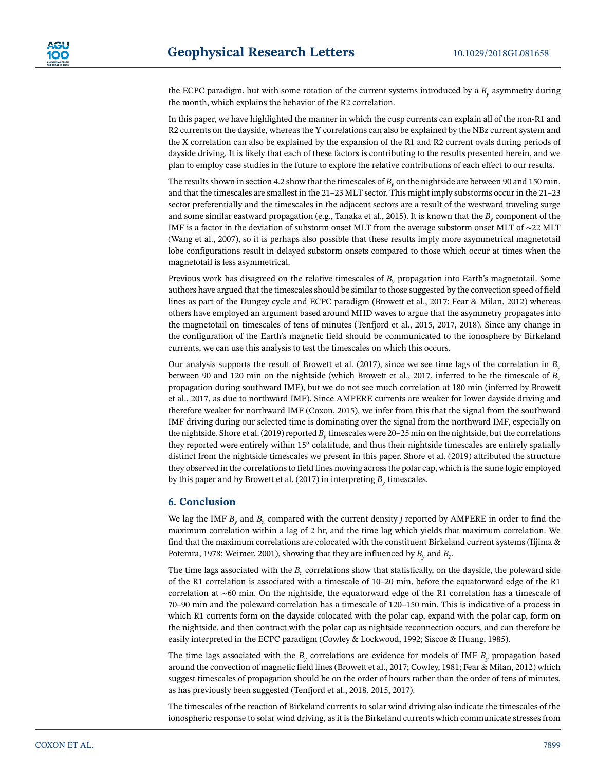the ECPC paradigm, but with some rotation of the current systems introduced by a  $B<sub>v</sub>$  asymmetry during the month, which explains the behavior of the R2 correlation.

In this paper, we have highlighted the manner in which the cusp currents can explain all of the non-R1 and R2 currents on the dayside, whereas the Y correlations can also be explained by the NBz current system and the X correlation can also be explained by the expansion of the R1 and R2 current ovals during periods of dayside driving. It is likely that each of these factors is contributing to the results presented herein, and we plan to employ case studies in the future to explore the relative contributions of each effect to our results.

The results shown in section 4.2 show that the timescales of *By* on the nightside are between 90 and 150 min, and that the timescales are smallest in the 21–23 MLT sector. This might imply substorms occur in the 21–23 sector preferentially and the timescales in the adjacent sectors are a result of the westward traveling surge and some similar eastward propagation (e.g., Tanaka et al., 2015). It is known that the *By* component of the IMF is a factor in the deviation of substorm onset MLT from the average substorm onset MLT of ∼22 MLT (Wang et al., 2007), so it is perhaps also possible that these results imply more asymmetrical magnetotail lobe configurations result in delayed substorm onsets compared to those which occur at times when the magnetotail is less asymmetrical.

Previous work has disagreed on the relative timescales of *By* propagation into Earth's magnetotail. Some authors have argued that the timescales should be similar to those suggested by the convection speed of field lines as part of the Dungey cycle and ECPC paradigm (Browett et al., 2017; Fear & Milan, 2012) whereas others have employed an argument based around MHD waves to argue that the asymmetry propagates into the magnetotail on timescales of tens of minutes (Tenfjord et al., 2015, 2017, 2018). Since any change in the configuration of the Earth's magnetic field should be communicated to the ionosphere by Birkeland currents, we can use this analysis to test the timescales on which this occurs.

Our analysis supports the result of Browett et al. (2017), since we see time lags of the correlation in *By* between 90 and 120 min on the nightside (which Browett et al., 2017, inferred to be the timescale of *By* propagation during southward IMF), but we do not see much correlation at 180 min (inferred by Browett et al., 2017, as due to northward IMF). Since AMPERE currents are weaker for lower dayside driving and therefore weaker for northward IMF (Coxon, 2015), we infer from this that the signal from the southward IMF driving during our selected time is dominating over the signal from the northward IMF, especially on the nightside. Shore et al. (2019) reported *By* timescales were 20–25 min on the nightside, but the correlations they reported were entirely within 15◦ colatitude, and thus their nightside timescales are entirely spatially distinct from the nightside timescales we present in this paper. Shore et al. (2019) attributed the structure they observed in the correlations to field lines moving across the polar cap, which is the same logic employed by this paper and by Browett et al. (2017) in interpreting  $B<sub>v</sub>$  timescales.

#### **6. Conclusion**

We lag the IMF *By* and *Bz* compared with the current density *j* reported by AMPERE in order to find the maximum correlation within a lag of 2 hr, and the time lag which yields that maximum correlation. We find that the maximum correlations are colocated with the constituent Birkeland current systems (Iijima  $\&$ Potemra, 1978; Weimer, 2001), showing that they are influenced by  $B<sub>v</sub>$  and  $B<sub>z</sub>$ .

The time lags associated with the *B<sub>z</sub>* correlations show that statistically, on the dayside, the poleward side of the R1 correlation is associated with a timescale of 10–20 min, before the equatorward edge of the R1 correlation at ∼60 min. On the nightside, the equatorward edge of the R1 correlation has a timescale of 70–90 min and the poleward correlation has a timescale of 120–150 min. This is indicative of a process in which R1 currents form on the dayside colocated with the polar cap, expand with the polar cap, form on the nightside, and then contract with the polar cap as nightside reconnection occurs, and can therefore be easily interpreted in the ECPC paradigm (Cowley & Lockwood, 1992; Siscoe & Huang, 1985).

The time lags associated with the  $B_y$  correlations are evidence for models of IMF  $B_y$  propagation based around the convection of magnetic field lines (Browett et al., 2017; Cowley, 1981; Fear & Milan, 2012) which suggest timescales of propagation should be on the order of hours rather than the order of tens of minutes, as has previously been suggested (Tenfjord et al., 2018, 2015, 2017).

The timescales of the reaction of Birkeland currents to solar wind driving also indicate the timescales of the ionospheric response to solar wind driving, as it is the Birkeland currents which communicate stresses from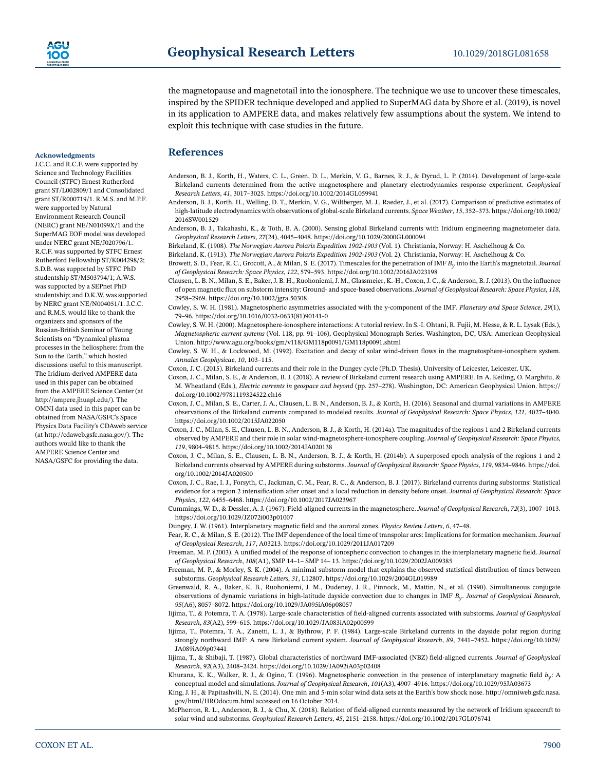the magnetopause and magnetotail into the ionosphere. The technique we use to uncover these timescales, inspired by the SPIDER technique developed and applied to SuperMAG data by Shore et al. (2019), is novel in its application to AMPERE data, and makes relatively few assumptions about the system. We intend to exploit this technique with case studies in the future.

## **References**

- Anderson, B. J., Korth, H., Waters, C. L., Green, D. L., Merkin, V. G., Barnes, R. J., & Dyrud, L. P. (2014). Development of large-scale Birkeland currents determined from the active magnetosphere and planetary electrodynamics response experiment. *Geophysical Research Letters*, *41*, 3017–3025.<https://doi.org/10.1002/2014GL059941>
- Anderson, B. J., Korth, H., Welling, D. T., Merkin, V. G., Wiltberger, M. J., Raeder, J., et al. (2017). Comparison of predictive estimates of high-latitude electrodynamics with observations of global-scale Birkeland currents. *Space Weather*, *15*, 352–373[. https://doi.org/10.1002/](https://doi.org/10.1002/2016SW001529) [2016SW001529](https://doi.org/10.1002/2016SW001529)
- Anderson, B. J., Takahashi, K., & Toth, B. A. (2000). Sensing global Birkeland currents with Iridium engineering magnetometer data. *Geophysical Research Letters*, *27*(24), 4045–4048.<https://doi.org/10.1029/2000GL000094>
- Birkeland, K. (1908). *The Norwegian Aurora Polaris Expedition 1902-1903* (Vol. 1). Christiania, Norway: H. Aschelhoug & Co.

Birkeland, K. (1913). *The Norwegian Aurora Polaris Expedition 1902-1903* (Vol. 2). Christiania, Norway: H. Aschelhoug & Co.

- Browett, S. D., Fear, R. C., Grocott, A., & Milan, S. E. (2017). Timescales for the penetration of IMF *By* into the Earth's magnetotail. *Journal of Geophysical Research: Space Physics*, *122*, 579–593.<https://doi.org/10.1002/2016JA023198>
- Clausen, L. B. N., Milan, S. E., Baker, J. B. H., Ruohoniemi, J. M., Glassmeier, K.-H., Coxon, J. C., & Anderson, B. J. (2013). On the influence of open magnetic flux on substorm intensity: Ground- and space-based observations.*Journal of Geophysical Research: Space Physics*, *118*, 2958–2969.<https://doi.org/10.1002/jgra.50308>
- Cowley, S. W. H. (1981). Magnetospheric asymmetries associated with the y-component of the IMF. *Planetary and Space Science*, *29*(1), 79–96. [https://doi.org/10.1016/0032-0633\(81\)90141-0](https://doi.org/10.1016/0032-0633(81)90141-0)
- Cowley, S. W. H. (2000). Magnetosphere-ionosphere interactions: A tutorial review. In S.-I. Ohtani, R. Fujii, M. Hesse, & R. L. Lysak (Eds.), *Magnetospheric current systems* (Vol. 118, pp. 91–106), Geophysical Monograph Series. Washington, DC, USA: American Geophysical Union.<http://www.agu.org/books/gm/v118/GM118p0091/GM118p0091.shtml>
- Cowley, S. W. H., & Lockwood, M. (1992). Excitation and decay of solar wind-driven flows in the magnetosphere-ionosphere system. *Annales Geophysicae*, *10*, 103–115.
- Coxon, J. C. (2015). Birkeland currents and their role in the Dungey cycle (Ph.D. Thesis), University of Leicester, Leicester, UK.
- Coxon, J. C., Milan, S. E., & Anderson, B. J. (2018). A review of Birkeland current research using AMPERE. In A. Keiling, O. Marghitu, & M. Wheatland (Eds.), *Electric currents in geospace and beyond* (pp. 257–278). Washington, DC: American Geophysical Union. [https://](https://doi.org/10.1002/9781119324522.ch16) [doi.org/10.1002/9781119324522.ch16](https://doi.org/10.1002/9781119324522.ch16)
- Coxon, J. C., Milan, S. E., Carter, J. A., Clausen, L. B. N., Anderson, B. J., & Korth, H. (2016). Seasonal and diurnal variations in AMPERE observations of the Birkeland currents compared to modeled results. *Journal of Geophysical Research: Space Physics*, *121*, 4027–4040. <https://doi.org/10.1002/2015JA022050>
- Coxon, J. C., Milan, S. E., Clausen, L. B. N., Anderson, B. J., & Korth, H. (2014a). The magnitudes of the regions 1 and 2 Birkeland currents observed by AMPERE and their role in solar wind-magnetosphere-ionosphere coupling. *Journal of Geophysical Research: Space Physics*, *119*, 9804–9815.<https://doi.org/10.1002/2014JA020138>
- Coxon, J. C., Milan, S. E., Clausen, L. B. N., Anderson, B. J., & Korth, H. (2014b). A superposed epoch analysis of the regions 1 and 2 Birkeland currents observed by AMPERE during substorms. *Journal of Geophysical Research: Space Physics*, *119*, 9834–9846. [https://doi.](https://doi.org/10.1002/2014JA020500) [org/10.1002/2014JA020500](https://doi.org/10.1002/2014JA020500)
- Coxon, J. C., Rae, I. J., Forsyth, C., Jackman, C. M., Fear, R. C., & Anderson, B. J. (2017). Birkeland currents during substorms: Statistical evidence for a region 2 intensification after onset and a local reduction in density before onset. *Journal of Geophysical Research: Space Physics*, *122*, 6455–6468.<https://doi.org/10.1002/2017JA023967>
- Cummings, W. D., & Dessler, A. J. (1967). Field-aligned currents in the magnetosphere. *Journal of Geophysical Research*, *72*(3), 1007–1013. <https://doi.org/10.1029/JZ072i003p01007>

Dungey, J. W. (1961). Interplanetary magnetic field and the auroral zones. *Physics Review Letters*, *6*, 47–48.

- Fear, R. C., & Milan, S. E. (2012). The IMF dependence of the local time of transpolar arcs: Implications for formation mechanism. *Journal of Geophysical Research*, *117*, A03213.<https://doi.org/10.1029/2011JA017209>
- Freeman, M. P. (2003). A unified model of the response of ionospheric convection to changes in the interplanetary magnetic field. *Journal of Geophysical Research*, *108*(A1), SMP 14–1– SMP 14– 13.<https://doi.org/10.1029/2002JA009385>
- Freeman, M. P., & Morley, S. K. (2004). A minimal substorm model that explains the observed statistical distribution of times between substorms. *Geophysical Research Letters*, *31*, L12807.<https://doi.org/10.1029/2004GL019989>
- Greenwald, R. A., Baker, K. B., Ruohoniemi, J. M., Dudeney, J. R., Pinnock, M., Mattin, N., et al. (1990). Simultaneous conjugate observations of dynamic variations in high-latitude dayside convection due to changes in IMF *By*. *Journal of Geophysical Research*, *95*(A6), 8057–8072.<https://doi.org/10.1029/JA095iA06p08057>
- Iijima, T., & Potemra, T. A. (1978). Large-scale characteristics of field-aligned currents associated with substorms. *Journal of Geophysical Research*, *83*(A2), 599–615.<https://doi.org/10.1029/JA083iA02p00599>
- Iijima, T., Potemra, T. A., Zanetti, L. J., & Bythrow, P. F. (1984). Large-scale Birkeland currents in the dayside polar region during strongly northward IMF: A new Birkeland current system. *Journal of Geophysical Research*, *89*, 7441–7452. [https://doi.org/10.1029/](https://doi.org/10.1029/JA089iA09p07441) [JA089iA09p07441](https://doi.org/10.1029/JA089iA09p07441)
- Iijima, T., & Shibaji, T. (1987). Global characteristics of northward IMF-associated (NBZ) field-aligned currents. *Journal of Geophysical Research*, *92*(A3), 2408–2424.<https://doi.org/10.1029/JA092iA03p02408>
- Khurana, K. K., Walker, R. J., & Ogino, T. (1996). Magnetospheric convection in the presence of interplanetary magnetic field *by*: A conceptual model and simulations. *Journal of Geophysical Research*, *101*(A3), 4907–4916.<https://doi.org/10.1029/95JA03673>
- King, J. H., & Papitashvili, N. E. (2014). One min and 5-min solar wind data sets at the Earth's bow shock nose. [http://omniweb.gsfc.nasa.](http://omniweb.gsfc.nasa.gov/html/HROdocum.html) [gov/html/HROdocum.html](http://omniweb.gsfc.nasa.gov/html/HROdocum.html) accessed on 16 October 2014.
- McPherron, R. L., Anderson, B. J., & Chu, X. (2018). Relation of field-aligned currents measured by the network of Iridium spacecraft to solar wind and substorms. *Geophysical Research Letters*, *45*, 2151–2158.<https://doi.org/10.1002/2017GL076741>

#### **Acknowledgments**

J.C.C. and R.C.F. were supported by Science and Technology Facilities Council (STFC) Ernest Rutherford grant ST/L002809/1 and Consolidated grant ST/R000719/1. R.M.S. and M.P.F. were supported by Natural Environment Research Council (NERC) grant NE/N01099X/1 and the SuperMAG EOF model was developed under NERC grant NE/J020796/1. R.C.F. was supported by STFC Ernest Rutherford Fellowship ST/K004298/2; S.D.B. was supported by STFC PhD studentship ST/M503794/1; A.W.S. was supported by a SEPnet PhD studentship; and D.K.W. was supported by NERC grant NE/N004051/1. J.C.C. and R.M.S. would like to thank the organizers and sponsors of the Russian-British Seminar of Young Scientists on "Dynamical plasma processes in the heliosphere: from the Sun to the Earth," which hosted discussions useful to this manuscript. The Iridium-derived AMPERE data used in this paper can be obtained from the AMPERE Science Center (at [http://ampere.jhuapl.edu/\)](http://ampere.jhuapl.edu/). The OMNI data used in this paper can be obtained from NASA/GSFC's Space Physics Data Facility's CDAweb service (at [http://cdaweb.gsfc.nasa.gov/\)](http://cdaweb.gsfc.nasa.gov/). The authors would like to thank the AMPERE Science Center and NASA/GSFC for providing the data.